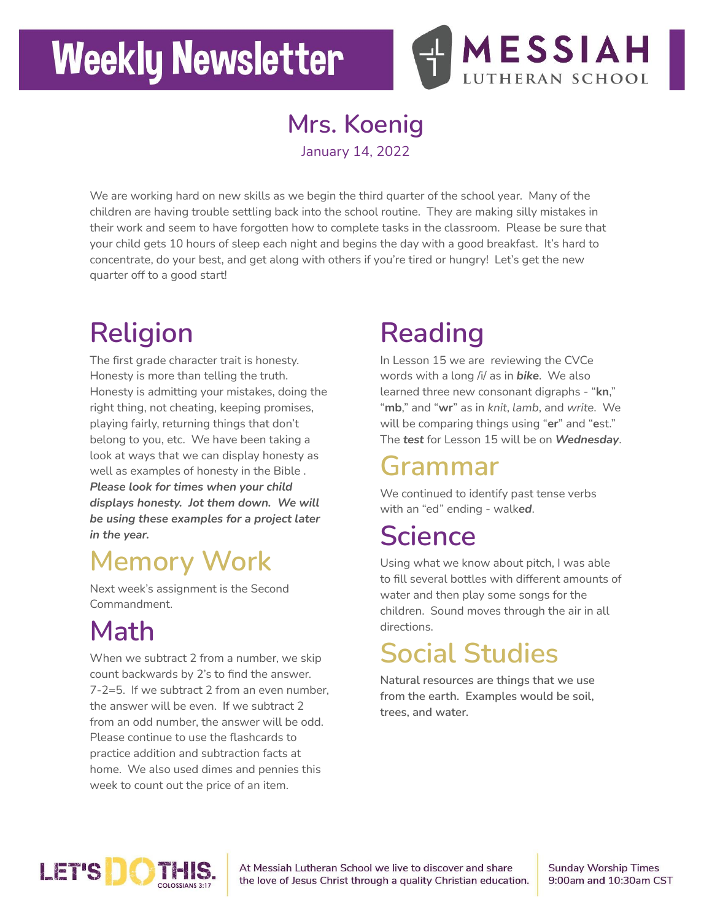# **Weekly Newsletter**



### **Mrs. Koenig**

January 14, 2022

We are working hard on new skills as we begin the third quarter of the school year. Many of the children are having trouble settling back into the school routine. They are making silly mistakes in their work and seem to have forgotten how to complete tasks in the classroom. Please be sure that your child gets 10 hours of sleep each night and begins the day with a good breakfast. It's hard to concentrate, do your best, and get along with others if you're tired or hungry! Let's get the new quarter off to a good start!

# **Religion**

The first grade character trait is honesty. Honesty is more than telling the truth. Honesty is admitting your mistakes, doing the right thing, not cheating, keeping promises, playing fairly, returning things that don't belong to you, etc. We have been taking a look at ways that we can display honesty as well as examples of honesty in the Bible . *Please look for times when your child displays honesty. Jot them down. We will be using these examples for a project later in the year.*

### **Memory Work**

Next week's assignment is the Second Commandment.

# **Math**

When we subtract 2 from a number, we skip count backwards by 2's to find the answer. 7-2=5. If we subtract 2 from an even number, the answer will be even. If we subtract 2 from an odd number, the answer will be odd. Please continue to use the flashcards to practice addition and subtraction facts at home. We also used dimes and pennies this week to count out the price of an item.

## **Reading**

In Lesson 15 we are reviewing the CVCe words with a long /i/ as in *bike*. We also learned three new consonant digraphs - "**kn**," "**mb**," and "**wr**" as in *knit*, *lamb*, and *write*. We will be comparing things using "**er**" and "**e**st." The *test* for Lesson 15 will be on *Wednesday*.

#### **Grammar**

We continued to identify past tense verbs with an "ed" ending - walk*ed*.

### **Science**

Using what we know about pitch, I was able to fill several bottles with different amounts of water and then play some songs for the children. Sound moves through the air in all directions.

### **Social Studies**

**Natural resources are things that we use from the earth. Examples would be soil, trees, and water.**



At Messiah Lutheran School we live to discover and share the love of Jesus Christ through a quality Christian education. **Sunday Worship Times** 9:00am and 10:30am CST